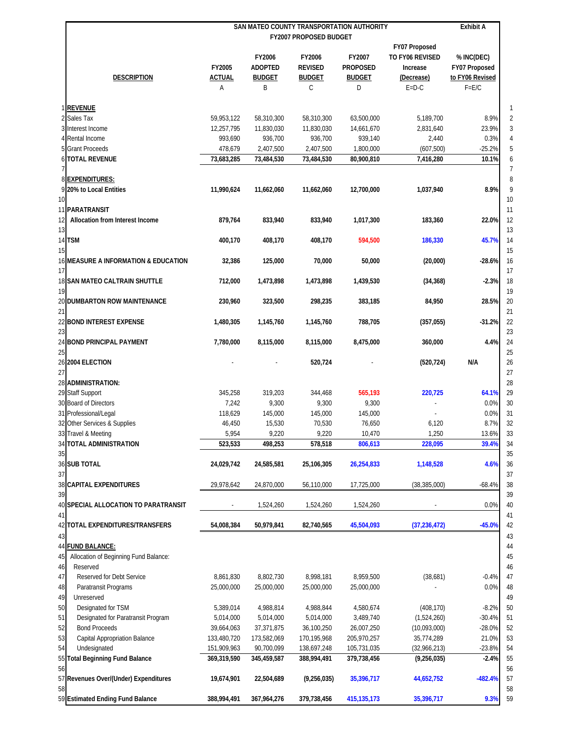|                                             | SAN MATEO COUNTY TRANSPORTATION AUTHORITY<br>FY2007 PROPOSED BUDGET |                |                |                 |                 | <b>Exhibit A</b> |
|---------------------------------------------|---------------------------------------------------------------------|----------------|----------------|-----------------|-----------------|------------------|
|                                             |                                                                     |                |                |                 |                 |                  |
|                                             |                                                                     |                |                |                 | FY07 Proposed   |                  |
|                                             |                                                                     | FY2006         | FY2006         | FY2007          | TO FY06 REVISED | % INC(DEC)       |
|                                             | FY2005                                                              | <b>ADOPTED</b> | <b>REVISED</b> | <b>PROPOSED</b> | Increase        | FY07 Proposed    |
| <b>DESCRIPTION</b>                          | ACTUAL                                                              | <b>BUDGET</b>  | <b>BUDGET</b>  | <b>BUDGET</b>   | (Decrease)      | to FY06 Revised  |
|                                             | Α                                                                   | B              | С              | D               | $E=D-C$         | $F = E/C$        |
|                                             |                                                                     |                |                |                 |                 |                  |
| 1 REVENUE<br>2 Sales Tax                    | 59,953,122                                                          | 58,310,300     | 58,310,300     | 63,500,000      | 5,189,700       | 8.9%             |
| 3 Interest Income                           | 12,257,795                                                          | 11,830,030     | 11,830,030     | 14,661,670      | 2,831,640       | 23.9%            |
|                                             |                                                                     |                |                |                 |                 |                  |
| 4 Rental Income                             | 993,690                                                             | 936,700        | 936,700        | 939,140         | 2,440           | 0.3%             |
| 5 Grant Proceeds                            | 478,679                                                             | 2,407,500      | 2,407,500      | 1,800,000       | (607, 500)      | $-25.2%$         |
| <b>6 TOTAL REVENUE</b>                      | 73,683,285                                                          | 73,484,530     | 73,484,530     | 80,900,810      | 7,416,280       | 10.1%            |
| 8 EXPENDITURES:                             |                                                                     |                |                |                 |                 |                  |
| 9 20% to Local Entities                     | 11,990,624                                                          | 11,662,060     | 11,662,060     | 12,700,000      | 1,037,940       | 8.9%             |
| 10                                          |                                                                     |                |                |                 |                 |                  |
|                                             |                                                                     |                |                |                 |                 |                  |
| 11 PARATRANSIT                              |                                                                     |                |                |                 |                 |                  |
| 12<br>Allocation from Interest Income       | 879.764                                                             | 833,940        | 833,940        | 1,017,300       | 183,360         | 22.0%            |
| 13                                          |                                                                     |                |                |                 |                 |                  |
| 14 TSM<br>15                                | 400,170                                                             | 408,170        | 408,170        | 594,500         | 186,330         | 45.7%            |
| 16 MEASURE A INFORMATION & EDUCATION        | 32,386                                                              | 125,000        | 70,000         | 50,000          | (20,000)        | $-28.6%$         |
| 17                                          |                                                                     |                |                |                 |                 |                  |
| <b>18 SAN MATEO CALTRAIN SHUTTLE</b>        | 712,000                                                             | 1,473,898      | 1,473,898      | 1,439,530       | (34, 368)       | $-2.3%$          |
| 19                                          |                                                                     |                |                |                 |                 |                  |
| <b>20 DUMBARTON ROW MAINTENANCE</b>         | 230,960                                                             | 323,500        | 298,235        | 383,185         | 84,950          | 28.5%            |
| 21                                          |                                                                     |                |                |                 |                 |                  |
| 22 BOND INTEREST EXPENSE                    | 1,480,305                                                           | 1,145,760      | 1,145,760      | 788,705         | (357, 055)      | $-31.2%$         |
| 23                                          |                                                                     |                |                |                 |                 |                  |
| 24 BOND PRINCIPAL PAYMENT                   | 7,780,000                                                           | 8,115,000      | 8,115,000      | 8,475,000       | 360,000         | 4.4%             |
| 25                                          |                                                                     |                |                |                 |                 |                  |
| 26 2004 ELECTION                            |                                                                     |                | 520,724        |                 | (520, 724)      | N/A              |
| 27                                          |                                                                     |                |                |                 |                 |                  |
| 28 ADMINISTRATION:                          |                                                                     |                |                |                 |                 |                  |
| 29 Staff Support                            | 345,258                                                             | 319,203        | 344,468        | 565,193         | 220,725         | 64.1%            |
| 30 Board of Directors                       | 7,242                                                               | 9,300          | 9,300          | 9,300           |                 | 0.0%             |
| 31 Professional/Legal                       | 118,629                                                             | 145,000        | 145,000        | 145,000         |                 | 0.0%             |
| 32 Other Services & Supplies                | 46,450                                                              | 15,530         | 70,530         | 76,650          | 6,120           | 8.7%             |
| 33 Travel & Meeting                         |                                                                     |                |                |                 |                 |                  |
|                                             | 5,954                                                               | 9,220          | 9,220          | 10,470          | 1,250           | 13.6%            |
| <b>34 TOTAL ADMINISTRATION</b>              | 523,533                                                             | 498,253        | 578,518        | 806,613         | 228,095         | 39.4%            |
| 35                                          |                                                                     |                |                |                 |                 |                  |
| 36 SUB TOTAL                                | 24,029,742                                                          | 24,585,581     | 25,106,305     | 26,254,833      | 1,148,528       | 4.6%             |
| 37                                          |                                                                     |                |                |                 |                 |                  |
| 38 CAPITAL EXPENDITURES                     | 29,978,642                                                          | 24,870,000     | 56,110,000     | 17,725,000      | (38, 385, 000)  | $-68.4%$         |
| 39                                          |                                                                     |                |                |                 |                 |                  |
| 40 SPECIAL ALLOCATION TO PARATRANSIT        |                                                                     | 1,524,260      | 1,524,260      | 1,524,260       |                 | 0.0%             |
| 41                                          |                                                                     |                |                |                 |                 |                  |
| 42 TOTAL EXPENDITURES/TRANSFERS             | 54,008,384                                                          | 50,979,841     | 82,740,565     | 45,504,093      | (37, 236, 472)  | $-45.0%$         |
| 43                                          |                                                                     |                |                |                 |                 |                  |
| 44 FUND BALANCE:                            |                                                                     |                |                |                 |                 |                  |
| Allocation of Beginning Fund Balance:<br>45 |                                                                     |                |                |                 |                 |                  |
| Reserved<br>46                              |                                                                     |                |                |                 |                 |                  |
| Reserved for Debt Service                   | 8,861,830                                                           | 8,802,730      | 8,998,181      | 8,959,500       |                 | $-0.4%$          |
| 47                                          |                                                                     |                |                |                 | (38,681)        |                  |
| 48<br>Paratransit Programs                  | 25,000,000                                                          | 25,000,000     | 25,000,000     | 25,000,000      |                 | 0.0%             |
| Unreserved<br>49                            |                                                                     |                |                |                 |                 |                  |
| 50<br>Designated for TSM                    | 5,389,014                                                           | 4,988,814      | 4,988,844      | 4,580,674       | (408, 170)      | $-8.2%$          |
| 51<br>Designated for Paratransit Program    | 5,014,000                                                           | 5,014,000      | 5,014,000      | 3,489,740       | (1,524,260)     | $-30.4%$         |
| 52<br><b>Bond Proceeds</b>                  | 39,664,063                                                          | 37,371,875     | 36,100,250     | 26,007,250      | (10,093,000)    | $-28.0%$         |
| 53<br>Capital Appropriation Balance         | 133,480,720                                                         | 173,582,069    | 170,195,968    | 205,970,257     | 35,774,289      | 21.0%            |
| Undesignated<br>54                          | 151,909,963                                                         | 90,700,099     | 138,697,248    | 105,731,035     | (32,966,213)    | $-23.8%$         |
| 55<br><b>Total Beginning Fund Balance</b>   | 369,319,590                                                         | 345,459,587    | 388,994,491    | 379,738,456     | (9,256,035)     | $-2.4%$          |
| 56                                          |                                                                     |                |                |                 |                 |                  |
| 57 Revenues Over/(Under) Expenditures       | 19,674,901                                                          | 22,504,689     | (9,256,035)    | 35,396,717      | 44,652,752      | $-482.4%$        |
| 58                                          |                                                                     |                |                |                 |                 |                  |
| 59 Estimated Ending Fund Balance            | 388,994,491                                                         | 367,964,276    | 379,738,456    | 415, 135, 173   | 35,396,717      | 9.3%             |
|                                             |                                                                     |                |                |                 |                 |                  |